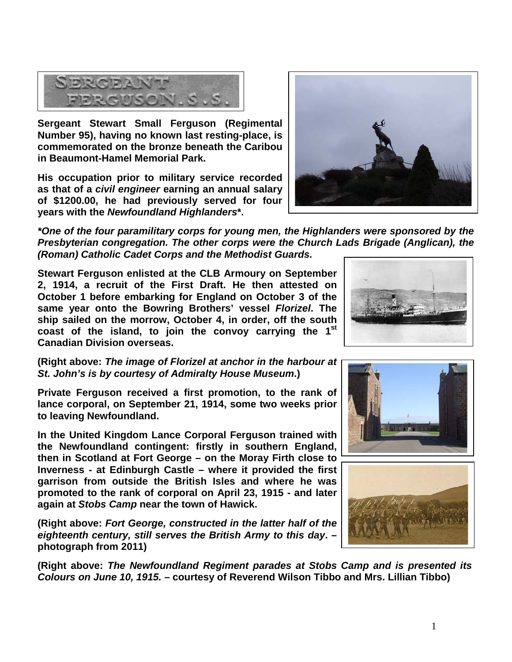1



**Sergeant Stewart Small Ferguson (Regimental Number 95), having no known last resting-place, is commemorated on the bronze beneath the Caribou in Beaumont-Hamel Memorial Park.** 

**His occupation prior to military service recorded as that of a** *civil engineer* **earning an annual salary of \$1200.00, he had previously served for four years with the** *Newfoundland Highlanders***\*.**

*\*One of the four paramilitary corps for young men, the Highlanders were sponsored by the Presbyterian congregation. The other corps were the Church Lads Brigade (Anglican), the (Roman) Catholic Cadet Corps and the Methodist Guards.* 

**Stewart Ferguson enlisted at the CLB Armoury on September 2, 1914, a recruit of the First Draft. He then attested on October 1 before embarking for England on October 3 of the same year onto the Bowring Brothers' vessel** *Florizel***. The ship sailed on the morrow, October 4, in order, off the south coast of the island, to join the convoy carrying the 1st Canadian Division overseas.**

**(Right above:** *The image of Florizel at anchor in the harbour at St. John's is by courtesy of Admiralty House Museum***.)**

**Private Ferguson received a first promotion, to the rank of lance corporal, on September 21, 1914, some two weeks prior to leaving Newfoundland.**

**In the United Kingdom Lance Corporal Ferguson trained with the Newfoundland contingent: firstly in southern England, then in Scotland at Fort George – on the Moray Firth close to Inverness - at Edinburgh Castle – where it provided the first garrison from outside the British Isles and where he was promoted to the rank of corporal on April 23, 1915 - and later again at** *Stobs Camp* **near the town of Hawick.** 

**(Right above:** *Fort George, constructed in the latter half of the eighteenth century, still serves the British Army to this day***. – photograph from 2011)**

**(Right above:** *The Newfoundland Regiment parades at Stobs Camp and is presented its Colours on June 10, 1915.* **– courtesy of Reverend Wilson Tibbo and Mrs. Lillian Tibbo)**







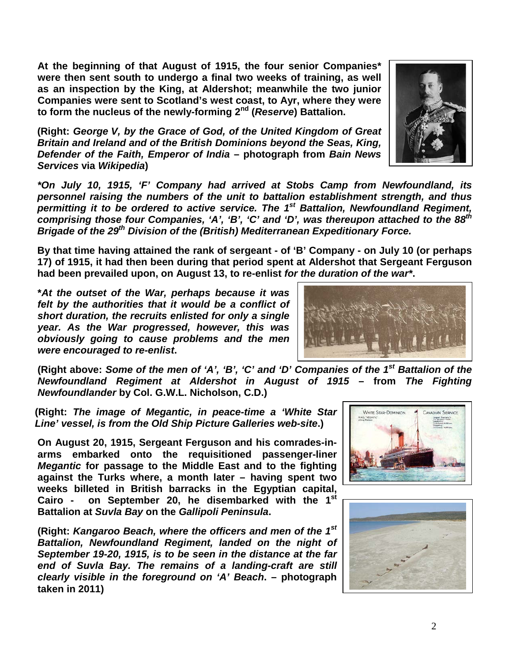**At the beginning of that August of 1915, the four senior Companies\* were then sent south to undergo a final two weeks of training, as well as an inspection by the King, at Aldershot; meanwhile the two junior Companies were sent to Scotland's west coast, to Ayr, where they were to form the nucleus of the newly-forming 2nd (***Reserve***) Battalion.**

**(Right:** *George V, by the Grace of God, of the United Kingdom of Great Britain and Ireland and of the British Dominions beyond the Seas, King, Defender of the Faith, Emperor of India* **– photograph from** *Bain News Services* **via** *Wikipedia***)**

*\*On July 10, 1915, 'F' Company had arrived at Stobs Camp from Newfoundland, its personnel raising the numbers of the unit to battalion establishment strength, and thus permitting it to be ordered to active service. The 1st Battalion, Newfoundland Regiment, comprising those four Companies, 'A', 'B', 'C' and 'D', was thereupon attached to the 88th Brigade of the 29th Division of the (British) Mediterranean Expeditionary Force.*

**By that time having attained the rank of sergeant - of 'B' Company - on July 10 (or perhaps 17) of 1915, it had then been during that period spent at Aldershot that Sergeant Ferguson had been prevailed upon, on August 13, to re-enlist** *for the duration of the war\****.**

**\****At the outset of the War, perhaps because it was felt by the authorities that it would be a conflict of short duration, the recruits enlisted for only a single year. As the War progressed, however, this was obviously going to cause problems and the men were encouraged to re-enlist***.**

**(Right above:** *Some of the men of 'A', 'B', 'C' and 'D' Companies of the 1st Battalion of the Newfoundland Regiment at Aldershot in August of 1915* **– from** *The Fighting Newfoundlander* **by Col. G.W.L. Nicholson, C.D.)**

**(Right:** *The image of Megantic, in peace-time a 'White Star Line' vessel, is from the Old Ship Picture Galleries web-site***.)**

**On August 20, 1915, Sergeant Ferguson and his comrades-inarms embarked onto the requisitioned passenger-liner**  *Megantic* **for passage to the Middle East and to the fighting against the Turks where, a month later – having spent two weeks billeted in British barracks in the Egyptian capital, Cairo - on September 20, he disembarked with the 1st**

**Battalion at** *Suvla Bay* **on the** *Gallipoli Peninsula***.** 

**(Right:** *Kangaroo Beach, where the officers and men of the 1st Battalion, Newfoundland Regiment, landed on the night of September 19-20, 1915, is to be seen in the distance at the far end of Suvla Bay. The remains of a landing-craft are still clearly visible in the foreground on 'A' Beach***. – photograph taken in 2011)**







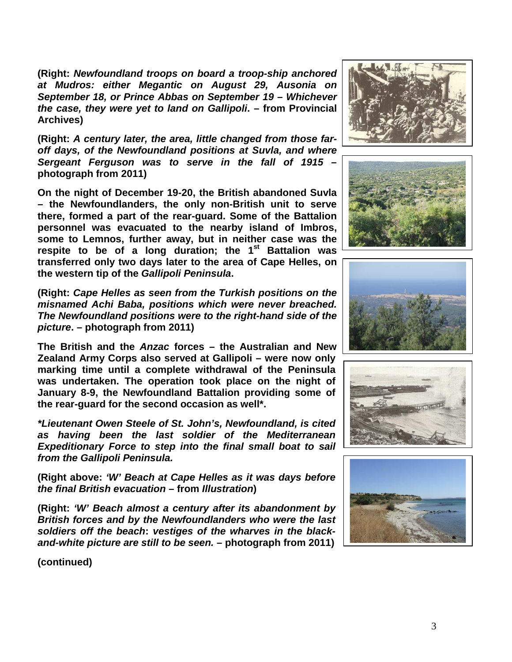**(Right:** *Newfoundland troops on board a troop-ship anchored at Mudros: either Megantic on August 29, Ausonia on September 18, or Prince Abbas on September 19 – Whichever the case, they were yet to land on Gallipoli***. – from Provincial Archives)**

**(Right:** *A century later, the area, little changed from those faroff days, of the Newfoundland positions at Suvla, and where Sergeant Ferguson was to serve in the fall of 1915* **– photograph from 2011)**

**On the night of December 19-20, the British abandoned Suvla – the Newfoundlanders, the only non-British unit to serve there, formed a part of the rear-guard. Some of the Battalion personnel was evacuated to the nearby island of Imbros, some to Lemnos, further away, but in neither case was the respite to be of a long duration; the 1st Battalion was transferred only two days later to the area of Cape Helles, on the western tip of the** *Gallipoli Peninsula***.**

**(Right:** *Cape Helles as seen from the Turkish positions on the misnamed Achi Baba, positions which were never breached. The Newfoundland positions were to the right-hand side of the picture***. – photograph from 2011)**

**The British and the** *Anzac* **forces – the Australian and New Zealand Army Corps also served at Gallipoli – were now only marking time until a complete withdrawal of the Peninsula was undertaken. The operation took place on the night of January 8-9, the Newfoundland Battalion providing some of the rear-guard for the second occasion as well\*.**

*\*Lieutenant Owen Steele of St. John's, Newfoundland, is cited as having been the last soldier of the Mediterranean Expeditionary Force to step into the final small boat to sail from the Gallipoli Peninsula.* 

**(Right above:** *'W' Beach at Cape Helles as it was days before the final British evacuation* **– from** *Illustration***)**

**(Right:** *'W' Beach almost a century after its abandonment by British forces and by the Newfoundlanders who were the last soldiers off the beach***:** *vestiges of the wharves in the blackand-white picture are still to be seen.* **– photograph from 2011)**











**(continued)**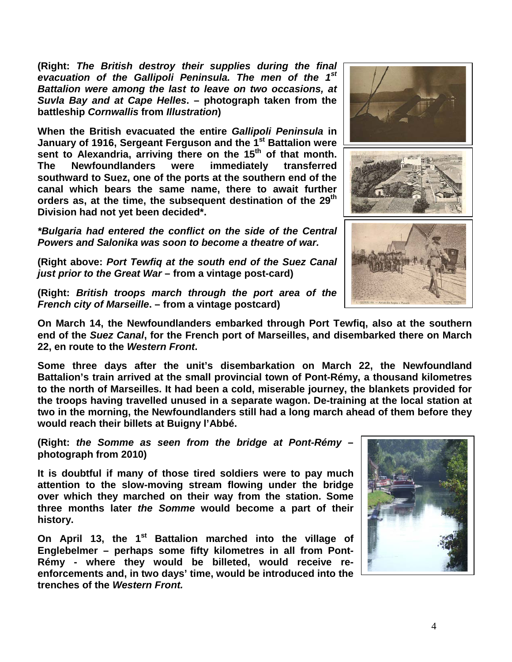**(Right:** *The British destroy their supplies during the final evacuation of the Gallipoli Peninsula. The men of the 1st Battalion were among the last to leave on two occasions, at Suvla Bay and at Cape Helles***. – photograph taken from the battleship** *Cornwallis* **from** *Illustration***)**

**When the British evacuated the entire** *Gallipoli Peninsula* **in January of 1916, Sergeant Ferguson and the 1st Battalion were** sent to Alexandria, arriving there on the 15<sup>th</sup> of that month.<br>The Newfoundlanders were immediately transferred **Newfoundlanders southward to Suez, one of the ports at the southern end of the canal which bears the same name, there to await further orders as, at the time, the subsequent destination of the 29th Division had not yet been decided\*.**

*\*Bulgaria had entered the conflict on the side of the Central Powers and Salonika was soon to become a theatre of war.*

**(Right above:** *Port Tewfiq at the south end of the Suez Canal just prior to the Great War* **– from a vintage post-card)**

**(Right:** *British troops march through the port area of the French city of Marseille***. – from a vintage postcard)**

**On March 14, the Newfoundlanders embarked through Port Tewfiq, also at the southern end of the** *Suez Canal***, for the French port of Marseilles, and disembarked there on March 22, en route to the** *Western Front***.** 

**Some three days after the unit's disembarkation on March 22, the Newfoundland Battalion's train arrived at the small provincial town of Pont-Rémy, a thousand kilometres to the north of Marseilles. It had been a cold, miserable journey, the blankets provided for the troops having travelled unused in a separate wagon. De-training at the local station at two in the morning, the Newfoundlanders still had a long march ahead of them before they would reach their billets at Buigny l'Abbé.**

**(Right:** *the Somme as seen from the bridge at Pont-Rémy* **– photograph from 2010)**

**It is doubtful if many of those tired soldiers were to pay much attention to the slow-moving stream flowing under the bridge over which they marched on their way from the station. Some three months later** *the Somme* **would become a part of their history.**

**On April 13, the 1st Battalion marched into the village of Englebelmer – perhaps some fifty kilometres in all from Pont-Rémy - where they would be billeted, would receive reenforcements and, in two days' time, would be introduced into the trenches of the** *Western Front.*



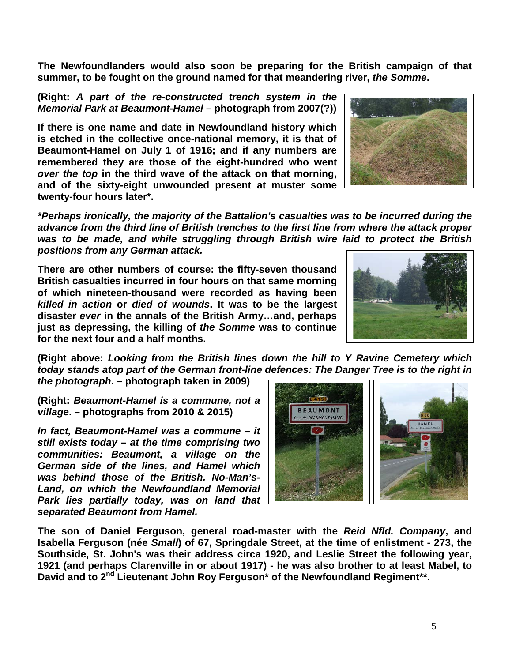**The Newfoundlanders would also soon be preparing for the British campaign of that summer, to be fought on the ground named for that meandering river,** *the Somme***.** 

## **(Right:** *A part of the re-constructed trench system in the Memorial Park at Beaumont-Hamel –* **photograph from 2007(?))**

**If there is one name and date in Newfoundland history which is etched in the collective once-national memory, it is that of Beaumont-Hamel on July 1 of 1916; and if any numbers are remembered they are those of the eight-hundred who went**  *over the top* **in the third wave of the attack on that morning, and of the sixty-eight unwounded present at muster some twenty-four hours later\*.**



**There are other numbers of course: the fifty-seven thousand British casualties incurred in four hours on that same morning of which nineteen-thousand were recorded as having been**  *killed in action* **or** *died of wounds***. It was to be the largest disaster** *ever* **in the annals of the British Army…and, perhaps just as depressing, the killing of** *the Somme* **was to continue for the next four and a half months.**



**(Right above:** *Looking from the British lines down the hill to Y Ravine Cemetery which today stands atop part of the German front-line defences: The Danger Tree is to the right in the photograph***. – photograph taken in 2009)**

**(Right:** *Beaumont-Hamel is a commune, not a village***. – photographs from 2010 & 2015)**

*In fact, Beaumont-Hamel was a commune – it still exists today – at the time comprising two communities: Beaumont, a village on the German side of the lines, and Hamel which was behind those of the British. No-Man's-Land, on which the Newfoundland Memorial Park lies partially today, was on land that separated Beaumont from Hamel.* 



**The son of Daniel Ferguson, general road-master with the** *Reid Nfld. Company***, and Isabella Ferguson (née** *Small***) of 67, Springdale Street, at the time of enlistment - 273, the Southside, St. John's was their address circa 1920, and Leslie Street the following year, 1921 (and perhaps Clarenville in or about 1917) - he was also brother to at least Mabel, to David and to 2nd Lieutenant John Roy Ferguson\* of the Newfoundland Regiment\*\*.**